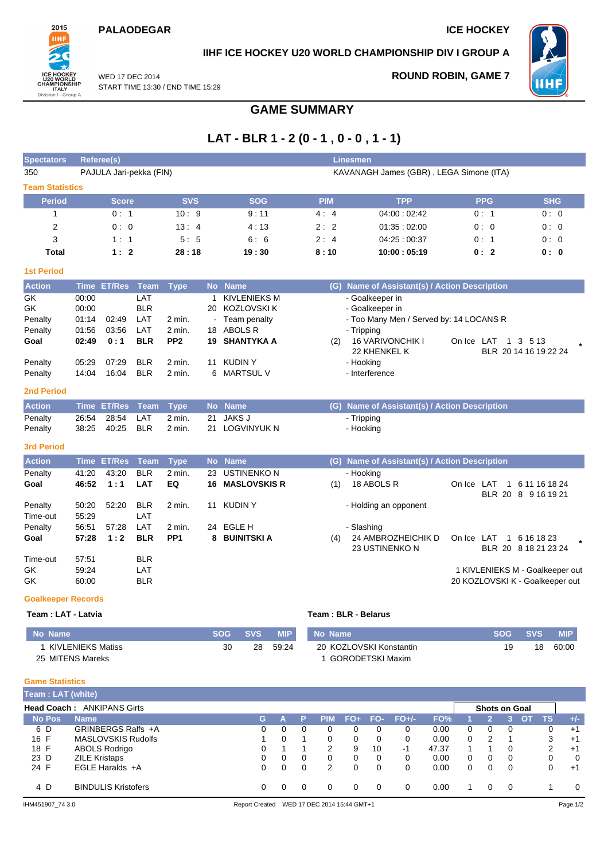### **PALAODEGAR ICE HOCKEY**



## **IIHF ICE HOCKEY U20 WORLD CHAMPIONSHIP DIV I GROUP A**

WED 17 DEC 2014 START TIME 13:30 / END TIME 15:29 **ROUND ROBIN, GAME 7**



### **GAME SUMMARY**

# **LAT - BLR 1 - 2 (0 - 1 , 0 - 0 , 1 - 1)**

| <b>Spectators</b>         |                                                                    | <b>Referee(s)</b>  |             |                 |           |                     |            | Linesmen                                      |                            |                                      |
|---------------------------|--------------------------------------------------------------------|--------------------|-------------|-----------------|-----------|---------------------|------------|-----------------------------------------------|----------------------------|--------------------------------------|
| 350                       | PAJULA Jari-pekka (FIN)<br>KAVANAGH James (GBR), LEGA Simone (ITA) |                    |             |                 |           |                     |            |                                               |                            |                                      |
| <b>Team Statistics</b>    |                                                                    |                    |             |                 |           |                     |            |                                               |                            |                                      |
| <b>Period</b>             |                                                                    | <b>Score</b>       |             | <b>SVS</b>      |           | <b>SOG</b>          | <b>PIM</b> | <b>TPP</b>                                    | <b>PPG</b>                 | <b>SHG</b>                           |
| 1                         |                                                                    | 0:1                |             | 10:9            |           | 9:11                | 4:4        | 04:00:02:42                                   | 0:1                        | 0:0                                  |
| $\overline{2}$            |                                                                    | 0:0                |             | 13:4            |           | 4:13                | 2:2        | 01:35:02:00                                   | 0:0                        | 0:0                                  |
| 3                         |                                                                    | 1:1                |             | 5:5             |           | 6:6                 | 2:4        | 04:25:00:37                                   | 0:1                        | 0:0                                  |
| <b>Total</b>              |                                                                    | 1:2                |             | 28:18           |           | 19:30               | 8:10       | 10:00:05:19                                   | 0:2                        | 0:0                                  |
| <b>1st Period</b>         |                                                                    |                    |             |                 |           |                     |            |                                               |                            |                                      |
| <b>Action</b>             |                                                                    | Time ET/Res        | <b>Team</b> | <b>Type</b>     |           | No Name             |            | (G) Name of Assistant(s) / Action Description |                            |                                      |
| GK                        | 00:00                                                              |                    | LAT         |                 |           | 1 KIVLENIEKS M      |            | - Goalkeeper in                               |                            |                                      |
| GK                        | 00:00                                                              |                    | <b>BLR</b>  |                 |           | 20 KOZLOVSKI K      |            | - Goalkeeper in                               |                            |                                      |
| Penalty                   | 01:14                                                              | 02:49              | LAT         | 2 min.          |           | Team penalty        |            | - Too Many Men / Served by: 14 LOCANS R       |                            |                                      |
| Penalty                   | 01:56                                                              | 03:56              | LAT         | 2 min.          | 18        | ABOLS R             |            | - Tripping                                    |                            |                                      |
| Goal                      | 02:49                                                              | 0:1                | <b>BLR</b>  | PP <sub>2</sub> |           | 19 SHANTYKA A       | (2)        | <b>16 VARIVONCHIK I</b>                       | On Ice LAT                 | 1 3 5 13                             |
|                           |                                                                    |                    |             |                 |           |                     |            | 22 KHENKEL K                                  |                            | BLR 20 14 16 19 22 24                |
| Penalty                   | 05:29                                                              | 07:29              | <b>BLR</b>  | 2 min.          | 11        | <b>KUDINY</b>       |            | - Hooking                                     |                            |                                      |
| Penalty                   | 14:04                                                              | 16:04              | <b>BLR</b>  | $2$ min.        | 6         | <b>MARTSUL V</b>    |            | - Interference                                |                            |                                      |
| <b>2nd Period</b>         |                                                                    |                    |             |                 |           |                     |            |                                               |                            |                                      |
| <b>Action</b>             |                                                                    | <b>Time ET/Res</b> | <b>Team</b> | <b>Type</b>     |           | No Name             |            | (G) Name of Assistant(s) / Action Description |                            |                                      |
| Penalty                   | 26:54                                                              | 28:54              | LAT         | 2 min.          | 21        | <b>JAKS J</b>       |            | - Tripping                                    |                            |                                      |
| Penalty                   | 38:25                                                              | 40:25              | <b>BLR</b>  | 2 min.          |           | 21 LOGVINYUK N      |            | - Hooking                                     |                            |                                      |
| <b>3rd Period</b>         |                                                                    |                    |             |                 |           |                     |            |                                               |                            |                                      |
| <b>Action</b>             | <b>Time</b>                                                        | <b>ET/Res</b>      | <b>Team</b> | <b>Type</b>     | <b>No</b> | <b>Name</b>         |            | (G) Name of Assistant(s) / Action Description |                            |                                      |
| Penalty                   | 41:20                                                              | 43:20              | <b>BLR</b>  | 2 min.          | 23        | <b>USTINENKON</b>   |            | - Hooking                                     |                            |                                      |
| Goal                      | 46:52                                                              | 1:1                | <b>LAT</b>  | EQ              | 16        | <b>MASLOVSKIS R</b> | (1)        | 18 ABOLS R                                    | On Ice LAT<br>$\mathbf{1}$ | 6 11 16 18 24<br>BLR 20 8 9 16 19 21 |
| Penalty                   | 50:20                                                              | 52:20              | <b>BLR</b>  | 2 min.          | 11        | <b>KUDINY</b>       |            | - Holding an opponent                         |                            |                                      |
| Time-out                  | 55:29                                                              |                    | LAT         |                 |           |                     |            |                                               |                            |                                      |
| Penalty                   | 56:51                                                              | 57:28              | LAT         | 2 min.          |           | 24 EGLE H           |            | - Slashing                                    |                            |                                      |
| Goal                      | 57:28                                                              | 1:2                | <b>BLR</b>  | PP <sub>1</sub> | 8         | <b>BUINITSKI A</b>  | (4)        | 24 AMBROZHEICHIK D<br>23 USTINENKO N          | On Ice LAT                 | 1 6 16 18 23<br>BLR 20 8 18 21 23 24 |
| Time-out                  | 57:51                                                              |                    | <b>BLR</b>  |                 |           |                     |            |                                               |                            |                                      |
| GK                        | 59:24                                                              |                    | LAT         |                 |           |                     |            |                                               |                            | 1 KIVLENIEKS M - Goalkeeper out      |
| GK                        | 60:00                                                              |                    | BLR         |                 |           |                     |            |                                               |                            | 20 KOZLOVSKI K - Goalkeeper out      |
| <b>Goalkeeper Records</b> |                                                                    |                    |             |                 |           |                     |            |                                               |                            |                                      |

**Team : LAT - Latvia Team : BLR - Belarus**

#### **No Name SOG SVS MIP** 1 KIVLENIEKS Matiss 25 MITENS Mareks 30 28 59:24 **No Name SOG SVS MIP** 20 KOZLOVSKI Konstantin 1 GORODETSKI Maxim 19 18 60:00

### **Game Statistics**

| Team: LAT (white) |                                   |    |  |   |            |     |          |          |       |   |                      |     |    |    |          |
|-------------------|-----------------------------------|----|--|---|------------|-----|----------|----------|-------|---|----------------------|-----|----|----|----------|
|                   | <b>Head Coach: ANKIPANS Girts</b> |    |  |   |            |     |          |          |       |   | <b>Shots on Goal</b> |     |    |    |          |
| <b>No Pos</b>     | <b>Name</b>                       | G. |  | P | <b>PIM</b> | FO+ | FO-      | $FO+/-$  | FO%   |   | $2^+$                |     | O1 | ΤS | $+/-$    |
| 6 D               | GRINBERGS Ralfs +A                | 0  |  | 0 |            |     |          | 0        | 0.00  | 0 | 0                    |     |    | 0  | $+1$     |
| 16 F              | MASLOVSKIS Rudolfs                |    |  |   | 0          |     | 0        | $\Omega$ | 0.00  | 0 | 2                    |     |    | 3  | $+1$     |
| 18 F              | ABOLS Rodrigo                     |    |  |   | 2          | 9   | 10       | -1       | 47.37 |   |                      |     |    | っ  | $+1$     |
| 23 D              | <b>ZILE Kristaps</b>              | 0  |  | 0 | 0          | 0   | 0        | 0        | 0.00  | 0 | 0                    |     |    |    | $\Omega$ |
| 24 F              | EGLE Haralds $+A$                 | 0  |  | 0 | 2          |     | $\Omega$ | $\Omega$ | 0.00  |   | 0                    |     |    | C  | $+1$     |
| 4 D               | <b>BINDULIS Kristofers</b>        | 0  |  | 0 |            |     | 0        | 0        | 0.00  |   | 0                    | - 0 |    |    | $\Omega$ |